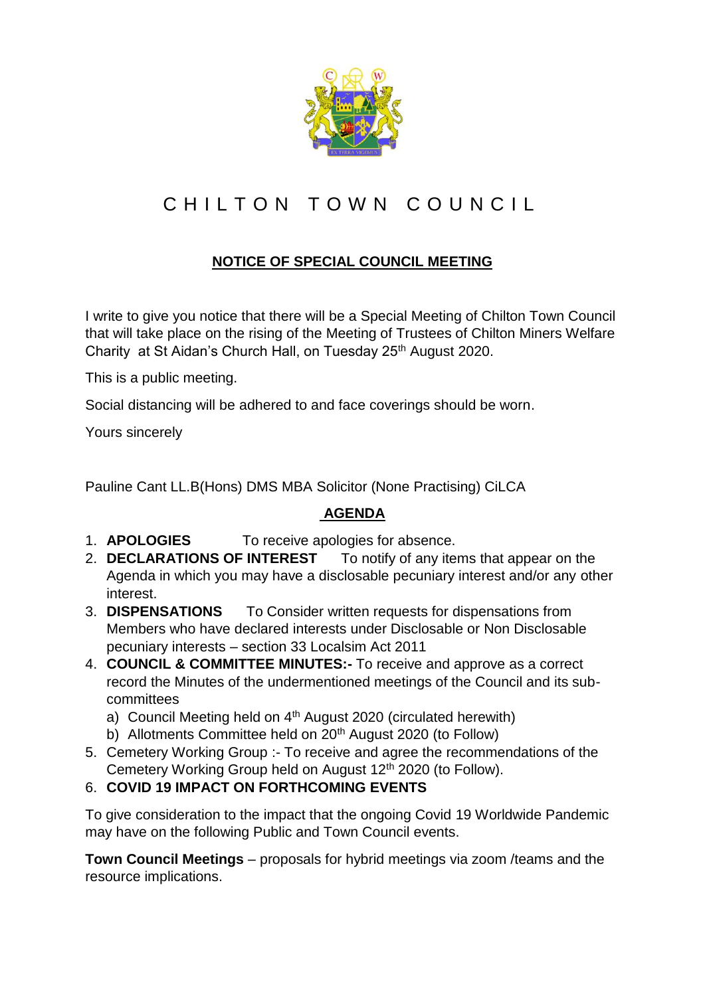

## CHILTON TOWN COUNCIL

## **NOTICE OF SPECIAL COUNCIL MEETING**

I write to give you notice that there will be a Special Meeting of Chilton Town Council that will take place on the rising of the Meeting of Trustees of Chilton Miners Welfare Charity at St Aidan's Church Hall, on Tuesday 25<sup>th</sup> August 2020.

This is a public meeting.

Social distancing will be adhered to and face coverings should be worn.

Yours sincerely

Pauline Cant LL.B(Hons) DMS MBA Solicitor (None Practising) CiLCA

## **AGENDA**

- 1. **APOLOGIES** To receive apologies for absence.
- 2. **DECLARATIONS OF INTEREST** To notify of any items that appear on the Agenda in which you may have a disclosable pecuniary interest and/or any other interest.
- 3. **DISPENSATIONS** To Consider written requests for dispensations from Members who have declared interests under Disclosable or Non Disclosable pecuniary interests – section 33 Localsim Act 2011
- 4. **COUNCIL & COMMITTEE MINUTES:-** To receive and approve as a correct record the Minutes of the undermentioned meetings of the Council and its subcommittees
	- a) Council Meeting held on 4<sup>th</sup> August 2020 (circulated herewith)
	- b) Allotments Committee held on 20<sup>th</sup> August 2020 (to Follow)
- 5. Cemetery Working Group :- To receive and agree the recommendations of the Cemetery Working Group held on August 12<sup>th</sup> 2020 (to Follow).
- 6. **COVID 19 IMPACT ON FORTHCOMING EVENTS**

To give consideration to the impact that the ongoing Covid 19 Worldwide Pandemic may have on the following Public and Town Council events.

**Town Council Meetings** – proposals for hybrid meetings via zoom /teams and the resource implications.